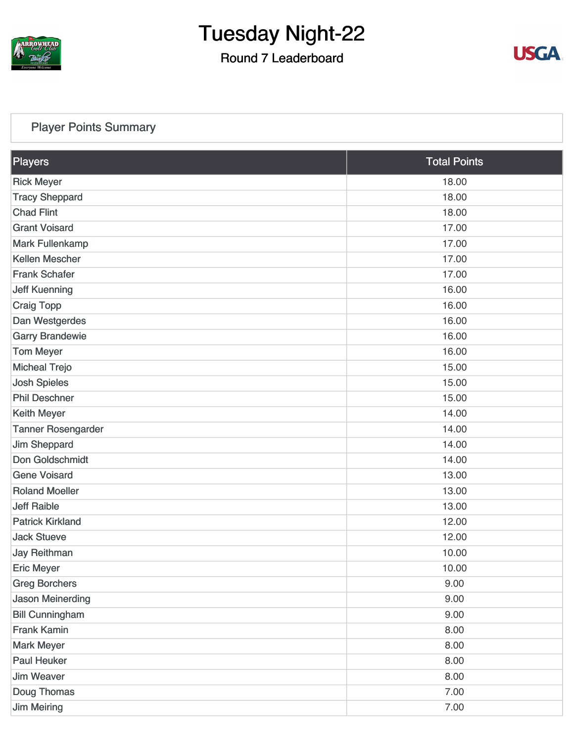

#### Round 7 Leaderboard



#### [Player Points Summary](https://static.golfgenius.com/v2tournaments/total_points?league_id=8105993687684621485&round_id=8105995548076549347)

| <b>Players</b>            | <b>Total Points</b> |
|---------------------------|---------------------|
| <b>Rick Meyer</b>         | 18.00               |
| <b>Tracy Sheppard</b>     | 18.00               |
| <b>Chad Flint</b>         | 18.00               |
| <b>Grant Voisard</b>      | 17.00               |
| <b>Mark Fullenkamp</b>    | 17.00               |
| <b>Kellen Mescher</b>     | 17.00               |
| <b>Frank Schafer</b>      | 17.00               |
| <b>Jeff Kuenning</b>      | 16.00               |
| <b>Craig Topp</b>         | 16.00               |
| Dan Westgerdes            | 16.00               |
| <b>Garry Brandewie</b>    | 16.00               |
| <b>Tom Meyer</b>          | 16.00               |
| <b>Micheal Trejo</b>      | 15.00               |
| <b>Josh Spieles</b>       | 15.00               |
| <b>Phil Deschner</b>      | 15.00               |
| <b>Keith Meyer</b>        | 14.00               |
| <b>Tanner Rosengarder</b> | 14.00               |
| <b>Jim Sheppard</b>       | 14.00               |
| Don Goldschmidt           | 14.00               |
| <b>Gene Voisard</b>       | 13.00               |
| <b>Roland Moeller</b>     | 13.00               |
| <b>Jeff Raible</b>        | 13.00               |
| <b>Patrick Kirkland</b>   | 12.00               |
| <b>Jack Stueve</b>        | 12.00               |
| <b>Jay Reithman</b>       | 10.00               |
| <b>Eric Meyer</b>         | 10.00               |
| <b>Greg Borchers</b>      | 9.00                |
| <b>Jason Meinerding</b>   | 9.00                |
| <b>Bill Cunningham</b>    | 9.00                |
| <b>Frank Kamin</b>        | 8.00                |
| <b>Mark Meyer</b>         | 8.00                |
| <b>Paul Heuker</b>        | 8.00                |
| <b>Jim Weaver</b>         | 8.00                |
| Doug Thomas               | 7.00                |
| <b>Jim Meiring</b>        | 7.00                |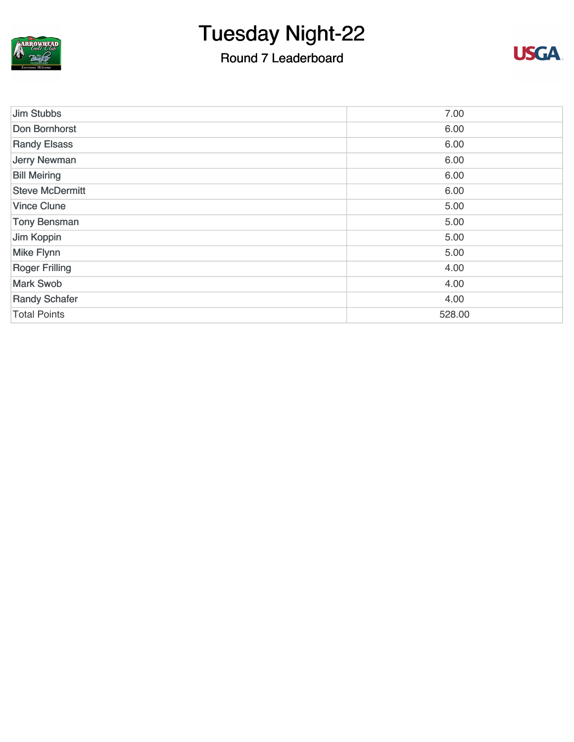

### Round 7 Leaderboard



| <b>Jim Stubbs</b>      | 7.00   |
|------------------------|--------|
| Don Bornhorst          | 6.00   |
| <b>Randy Elsass</b>    | 6.00   |
| <b>Jerry Newman</b>    | 6.00   |
| <b>Bill Meiring</b>    | 6.00   |
| <b>Steve McDermitt</b> | 6.00   |
| <b>Vince Clune</b>     | 5.00   |
| <b>Tony Bensman</b>    | 5.00   |
| Jim Koppin             | 5.00   |
| <b>Mike Flynn</b>      | 5.00   |
| <b>Roger Frilling</b>  | 4.00   |
| <b>Mark Swob</b>       | 4.00   |
| <b>Randy Schafer</b>   | 4.00   |
| <b>Total Points</b>    | 528.00 |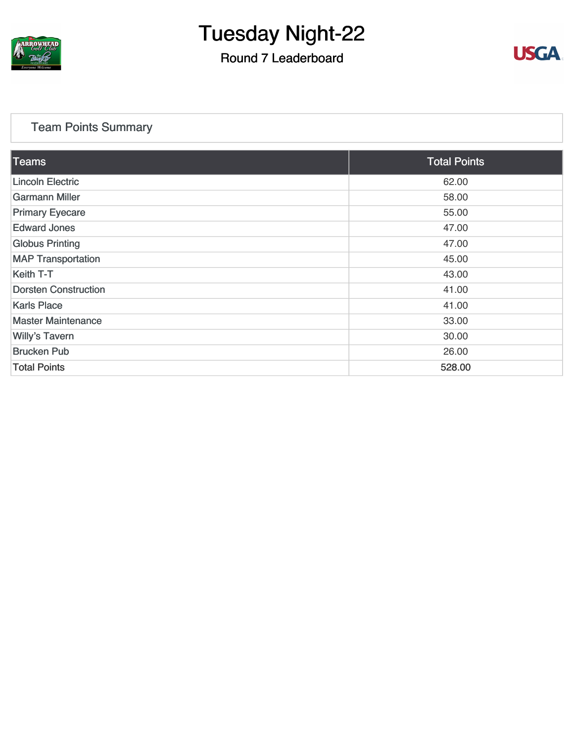

#### Round 7 Leaderboard



#### [Team Points Summary](https://static.golfgenius.com/v2tournaments/team_points?league_id=8105993687684621485&round_id=8105995548076549347)

| <b>Teams</b>                | <b>Total Points</b> |
|-----------------------------|---------------------|
| <b>Lincoln Electric</b>     | 62.00               |
| <b>Garmann Miller</b>       | 58.00               |
| <b>Primary Eyecare</b>      | 55.00               |
| <b>Edward Jones</b>         | 47.00               |
| <b>Globus Printing</b>      | 47.00               |
| <b>MAP Transportation</b>   | 45.00               |
| Keith T-T                   | 43.00               |
| <b>Dorsten Construction</b> | 41.00               |
| <b>Karls Place</b>          | 41.00               |
| <b>Master Maintenance</b>   | 33.00               |
| <b>Willy's Tavern</b>       | 30.00               |
| <b>Brucken Pub</b>          | 26.00               |
| <b>Total Points</b>         | 528.00              |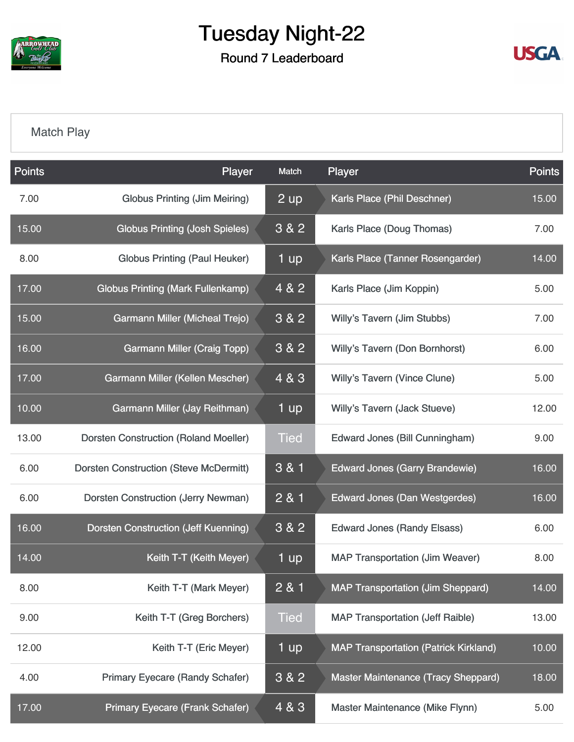

Round 7 Leaderboard



#### [Match Play](https://static.golfgenius.com/v2tournaments/8105996214266242254?called_from=&round_index=7)

| <b>Points</b> | Player                                        | Match       | Player                                       | <b>Points</b> |
|---------------|-----------------------------------------------|-------------|----------------------------------------------|---------------|
| 7.00          | <b>Globus Printing (Jim Meiring)</b>          | 2 up        | Karls Place (Phil Deschner)                  | 15.00         |
| 15.00         | <b>Globus Printing (Josh Spieles)</b>         | 3&82        | Karls Place (Doug Thomas)                    | 7.00          |
| 8.00          | <b>Globus Printing (Paul Heuker)</b>          | 1 up        | Karls Place (Tanner Rosengarder)             | 14.00         |
| 17.00         | <b>Globus Printing (Mark Fullenkamp)</b>      | 4 & 2       | Karls Place (Jim Koppin)                     | 5.00          |
| 15.00         | <b>Garmann Miller (Micheal Trejo)</b>         | 3&82        | Willy's Tavern (Jim Stubbs)                  | 7.00          |
| 16.00         | <b>Garmann Miller (Craig Topp)</b>            | 3 & 2       | <b>Willy's Tavern (Don Bornhorst)</b>        | 6.00          |
| 17.00         | Garmann Miller (Kellen Mescher)               | 4 & 3       | <b>Willy's Tavern (Vince Clune)</b>          | 5.00          |
| 10.00         | Garmann Miller (Jay Reithman)                 | 1 up        | Willy's Tavern (Jack Stueve)                 | 12.00         |
| 13.00         | <b>Dorsten Construction (Roland Moeller)</b>  | <b>Tied</b> | Edward Jones (Bill Cunningham)               | 9.00          |
| 6.00          | <b>Dorsten Construction (Steve McDermitt)</b> | 3 & 1       | <b>Edward Jones (Garry Brandewie)</b>        | 16.00         |
| 6.00          | <b>Dorsten Construction (Jerry Newman)</b>    | 2 & 1       | <b>Edward Jones (Dan Westgerdes)</b>         | 16.00         |
| 16.00         | <b>Dorsten Construction (Jeff Kuenning)</b>   | 3 & 2       | <b>Edward Jones (Randy Elsass)</b>           | 6.00          |
| 14.00         | Keith T-T (Keith Meyer)                       | 1 up        | <b>MAP Transportation (Jim Weaver)</b>       | 8.00          |
| 8.00          | Keith T-T (Mark Meyer)                        | 2 & 1       | <b>MAP Transportation (Jim Sheppard)</b>     | 14.00         |
| 9.00          | Keith T-T (Greg Borchers)                     | <b>Tied</b> | <b>MAP Transportation (Jeff Raible)</b>      | 13.00         |
| 12.00         | Keith T-T (Eric Meyer)                        | 1 up        | <b>MAP Transportation (Patrick Kirkland)</b> | 10.00         |
| 4.00          | <b>Primary Eyecare (Randy Schafer)</b>        | 3 & 2       | Master Maintenance (Tracy Sheppard)          | 18.00         |
| 17.00         | <b>Primary Eyecare (Frank Schafer)</b>        | 4 & 3       | Master Maintenance (Mike Flynn)              | 5.00          |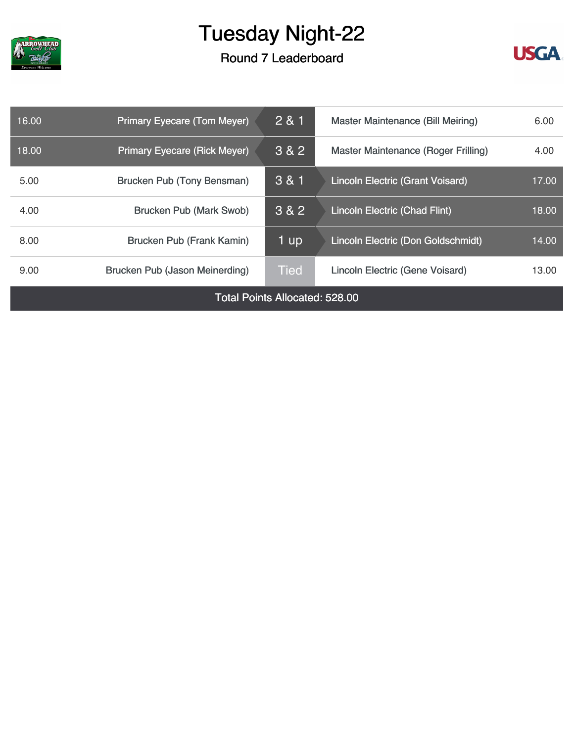

Round 7 Leaderboard



| 16.00                                 | <b>Primary Eyecare (Tom Meyer)</b>  | 2 & 1       | <b>Master Maintenance (Bill Meiring)</b>   |       |  |  |
|---------------------------------------|-------------------------------------|-------------|--------------------------------------------|-------|--|--|
| 18.00                                 | <b>Primary Eyecare (Rick Meyer)</b> | 3 & 2       | <b>Master Maintenance (Roger Frilling)</b> | 4.00  |  |  |
| 5.00                                  | Brucken Pub (Tony Bensman)          | 3 & 1       | <b>Lincoln Electric (Grant Voisard)</b>    | 17.00 |  |  |
| 4.00                                  | <b>Brucken Pub (Mark Swob)</b>      | 3 & 2       | Lincoln Electric (Chad Flint)              | 18.00 |  |  |
| 8.00                                  | <b>Brucken Pub (Frank Kamin)</b>    | 1 up        | Lincoln Electric (Don Goldschmidt)         | 14.00 |  |  |
| 9.00                                  | Brucken Pub (Jason Meinerding)      | <b>Tied</b> | <b>Lincoln Electric (Gene Voisard)</b>     |       |  |  |
| <b>Total Points Allocated: 528.00</b> |                                     |             |                                            |       |  |  |